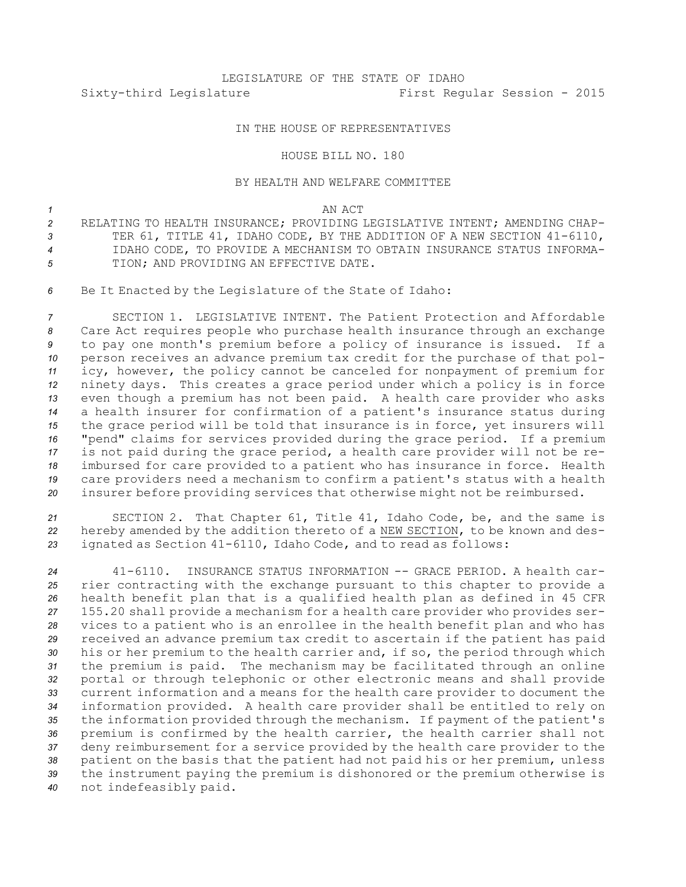## IN THE HOUSE OF REPRESENTATIVES

## HOUSE BILL NO. 180

## BY HEALTH AND WELFARE COMMITTEE

## *1* AN ACT

- *2* RELATING TO HEALTH INSURANCE; PROVIDING LEGISLATIVE INTENT; AMENDING CHAP-*<sup>3</sup>* TER 61, TITLE 41, IDAHO CODE, BY THE ADDITION OF A NEW SECTION 41-6110, *4* IDAHO CODE, TO PROVIDE A MECHANISM TO OBTAIN INSURANCE STATUS INFORMA-*5* TION; AND PROVIDING AN EFFECTIVE DATE.
- *<sup>6</sup>* Be It Enacted by the Legislature of the State of Idaho:

 SECTION 1. LEGISLATIVE INTENT. The Patient Protection and Affordable Care Act requires people who purchase health insurance through an exchange to pay one month's premium before <sup>a</sup> policy of insurance is issued. If <sup>a</sup> person receives an advance premium tax credit for the purchase of that pol- icy, however, the policy cannot be canceled for nonpayment of premium for ninety days. This creates <sup>a</sup> grace period under which <sup>a</sup> policy is in force even though <sup>a</sup> premium has not been paid. <sup>A</sup> health care provider who asks <sup>a</sup> health insurer for confirmation of <sup>a</sup> patient's insurance status during the grace period will be told that insurance is in force, yet insurers will "pend" claims for services provided during the grace period. If <sup>a</sup> premium is not paid during the grace period, <sup>a</sup> health care provider will not be re- imbursed for care provided to <sup>a</sup> patient who has insurance in force. Health care providers need <sup>a</sup> mechanism to confirm <sup>a</sup> patient's status with <sup>a</sup> health insurer before providing services that otherwise might not be reimbursed.

*<sup>21</sup>* SECTION 2. That Chapter 61, Title 41, Idaho Code, be, and the same is *<sup>22</sup>* hereby amended by the addition thereto of <sup>a</sup> NEW SECTION, to be known and des-*<sup>23</sup>* ignated as Section 41-6110, Idaho Code, and to read as follows:

 41-6110. INSURANCE STATUS INFORMATION -- GRACE PERIOD. A health car- rier contracting with the exchange pursuant to this chapter to provide <sup>a</sup> health benefit plan that is <sup>a</sup> qualified health plan as defined in 45 CFR 155.20 shall provide <sup>a</sup> mechanism for <sup>a</sup> health care provider who provides ser- vices to <sup>a</sup> patient who is an enrollee in the health benefit plan and who has received an advance premium tax credit to ascertain if the patient has paid his or her premium to the health carrier and, if so, the period through which the premium is paid. The mechanism may be facilitated through an online portal or through telephonic or other electronic means and shall provide current information and <sup>a</sup> means for the health care provider to document the information provided. <sup>A</sup> health care provider shall be entitled to rely on the information provided through the mechanism. If payment of the patient's premium is confirmed by the health carrier, the health carrier shall not deny reimbursement for <sup>a</sup> service provided by the health care provider to the patient on the basis that the patient had not paid his or her premium, unless the instrument paying the premium is dishonored or the premium otherwise is not indefeasibly paid.